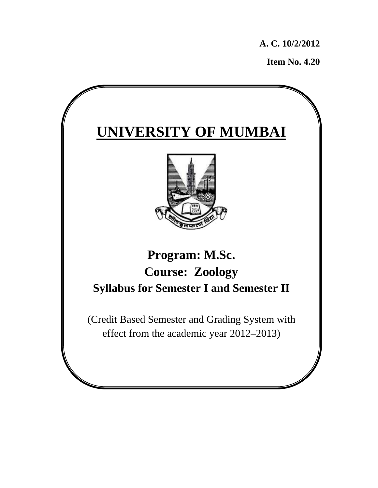**A. C. 10/2/2012** 

**Item No. 4.20** 

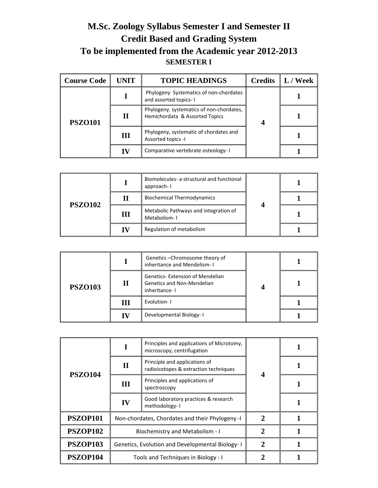# **M.Sc. Zoology Syllabus Semester I and Semester II Credit Based and Grading System To be implemented from the Academic year 2012-2013 SEMESTER I**

| <b>Course Code</b> | <b>UNIT</b> | <b>TOPIC HEADINGS</b>                                                      | <b>Credits</b> | $\parallel$ L / Week |
|--------------------|-------------|----------------------------------------------------------------------------|----------------|----------------------|
| <b>PSZO101</b>     |             | Phylogeny Systematics of non-chordates<br>and assorted topics- I           |                |                      |
|                    | П           | Phylogeny, systematics of non-chordates,<br>Hemichordata & Assorted Topics |                |                      |
|                    | Ш           | Phylogeny, systematic of chordates and<br>Assorted topics -I               |                |                      |
|                    |             | Comparative vertebrate osteology-1                                         |                |                      |

| <b>PSZO102</b> |     | Biomolecules- a structural and functional<br>approach-I |  |  |
|----------------|-----|---------------------------------------------------------|--|--|
|                |     | <b>Biochemical Thermodynamics</b>                       |  |  |
|                | III | Metabolic Pathways and integration of<br>Metabolism-1   |  |  |
|                | Н   | Regulation of metabolism                                |  |  |

| <b>PSZO103</b> |   | Genetics-Chromosome theory of<br>inheritance and Mendelism-1                                 |  |  |
|----------------|---|----------------------------------------------------------------------------------------------|--|--|
|                | ш | <b>Genetics-Extension of Mendelian</b><br><b>Genetics and Non-Mendelian</b><br>inheritance-I |  |  |
|                | ш | Evolution-1                                                                                  |  |  |
|                |   | Developmental Biology-I                                                                      |  |  |

| <b>PSZO104</b> |             | Principles and applications of Microtomy,<br>microscopy, centrifugation | 4 |  |
|----------------|-------------|-------------------------------------------------------------------------|---|--|
|                | $\mathbf H$ | Principle and applications of<br>radioisotopes & extraction techniques  |   |  |
|                | Ш           | Principles and applications of<br>spectroscopy                          |   |  |
|                | IV          | Good laboratory practices & research<br>methodology-I                   |   |  |
| PSZOP101       |             | Non-chordates, Chordates and their Phylogeny -I                         |   |  |
| PSZOP102       |             | <b>Biochemistry and Metabolism - I</b>                                  |   |  |
| PSZOP103       |             | Genetics, Evolution and Developmental Biology-1                         |   |  |
| PSZOP104       |             | Tools and Techniques in Biology - I                                     |   |  |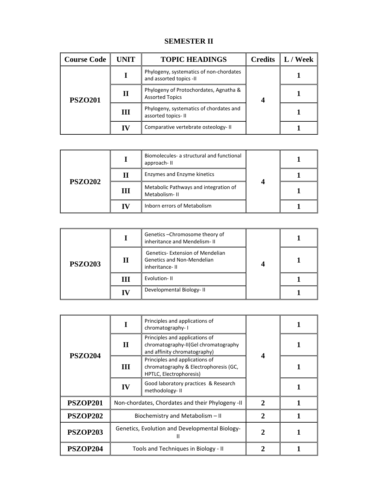# **SEMESTER II**

| <b>Course Code</b> | UNIT | <b>TOPIC HEADINGS</b>                                              | <b>Credits</b> | L / Week |
|--------------------|------|--------------------------------------------------------------------|----------------|----------|
| <b>PSZO201</b>     |      | Phylogeny, systematics of non-chordates<br>and assorted topics -II |                |          |
|                    | П    | Phylogeny of Protochordates, Agnatha &<br><b>Assorted Topics</b>   |                |          |
|                    | III  | Phylogeny, systematics of chordates and<br>assorted topics-II      |                |          |
|                    |      | Comparative vertebrate osteology-II                                |                |          |

| <b>PSZO202</b> |   | Biomolecules- a structural and functional<br>approach-II |  |  |
|----------------|---|----------------------------------------------------------|--|--|
|                |   | Enzymes and Enzyme kinetics                              |  |  |
|                | Ш | Metabolic Pathways and integration of<br>Metabolism-II   |  |  |
|                |   | Inborn errors of Metabolism                              |  |  |

| <b>PSZO203</b> |   | Genetics - Chromosome theory of<br>inheritance and Mendelism-II                               |  |  |
|----------------|---|-----------------------------------------------------------------------------------------------|--|--|
|                | Н | <b>Genetics-Extension of Mendelian</b><br><b>Genetics and Non-Mendelian</b><br>inheritance-II |  |  |
|                | Ш | Evolution-II                                                                                  |  |  |
|                |   | Developmental Biology-II                                                                      |  |  |

| <b>PSZO204</b> |             | Principles and applications of<br>chromatography-I                                                     | 4            |  |
|----------------|-------------|--------------------------------------------------------------------------------------------------------|--------------|--|
|                | $\mathbf H$ | Principles and applications of<br>chromatography-II(Gel chromatography<br>and affinity chromatography) |              |  |
|                | Ш           | Principles and applications of<br>chromatography & Electrophoresis (GC,<br>HPTLC, Electrophoresis)     |              |  |
|                | IV          | Good laboratory practices & Research<br>methodology-II                                                 |              |  |
| PSZOP201       |             | Non-chordates, Chordates and their Phylogeny -II                                                       | $\mathbf{2}$ |  |
| PSZOP202       |             | Biochemistry and Metabolism - II                                                                       |              |  |
| PSZOP203       |             | Genetics, Evolution and Developmental Biology-<br>Ш                                                    |              |  |
| PSZOP204       |             | Tools and Techniques in Biology - II                                                                   |              |  |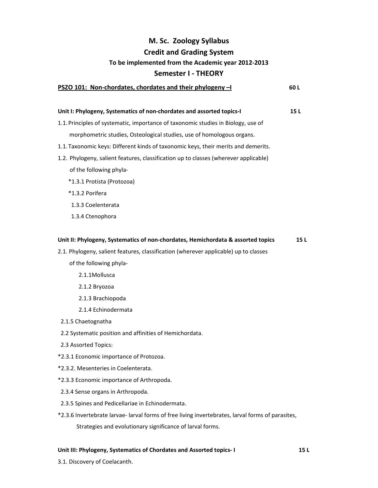# **M. Sc. Zoology Syllabus Credit and Grading System To be implemented from the Academic year 2012‐2013 Semester I ‐ THEORY**

| PSZO 101: Non-chordates, chordates and their phylogeny-I                                          | 60L |
|---------------------------------------------------------------------------------------------------|-----|
| Unit I: Phylogeny, Systematics of non-chordates and assorted topics-I                             | 15L |
| 1.1. Principles of systematic, importance of taxonomic studies in Biology, use of                 |     |
| morphometric studies, Osteological studies, use of homologous organs.                             |     |
| 1.1. Taxonomic keys: Different kinds of taxonomic keys, their merits and demerits.                |     |
| 1.2. Phylogeny, salient features, classification up to classes (wherever applicable)              |     |
| of the following phyla-                                                                           |     |
| *1.3.1 Protista (Protozoa)                                                                        |     |
| *1.3.2 Porifera                                                                                   |     |
| 1.3.3 Coelenterata                                                                                |     |
| 1.3.4 Ctenophora                                                                                  |     |
| Unit II: Phylogeny, Systematics of non-chordates, Hemichordata & assorted topics                  | 15L |
| 2.1. Phylogeny, salient features, classification (wherever applicable) up to classes              |     |
| of the following phyla-                                                                           |     |
| 2.1.1Mollusca                                                                                     |     |
| 2.1.2 Bryozoa                                                                                     |     |
| 2.1.3 Brachiopoda                                                                                 |     |
| 2.1.4 Echinodermata                                                                               |     |
| 2.1.5 Chaetognatha                                                                                |     |
| 2.2 Systematic position and affinities of Hemichordata.                                           |     |
| 2.3 Assorted Topics:                                                                              |     |
| *2.3.1 Economic importance of Protozoa.                                                           |     |
| *2.3.2. Mesenteries in Coelenterata.                                                              |     |
| *2.3.3 Economic importance of Arthropoda.                                                         |     |
| 2.3.4 Sense organs in Arthropoda.                                                                 |     |
| 2.3.5 Spines and Pedicellariae in Echinodermata.                                                  |     |
| *2.3.6 Invertebrate larvae- larval forms of free living invertebrates, larval forms of parasites, |     |
| Strategies and evolutionary significance of larval forms.                                         |     |
|                                                                                                   |     |

# **Unit III: Phylogeny, Systematics of Chordates and Assorted topics‐ I 15 L**

3.1. Discovery of Coelacanth.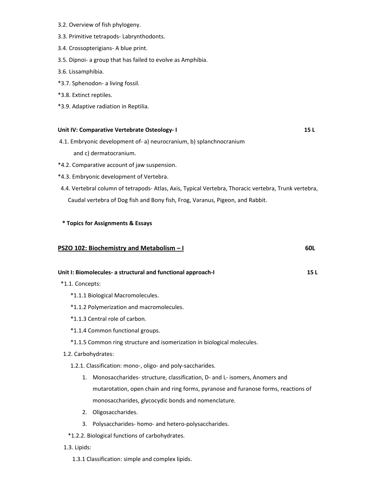- 3.2. Overview of fish phylogeny.
- 3.3. Primitive tetrapods‐ Labrynthodonts.
- 3.4. Crossopterigians‐ A blue print.
- 3.5. Dipnoi‐ a group that has failed to evolve as Amphibia.
- 3.6. Lissamphibia.
- \*3.7. Sphenodon‐ a living fossil.
- \*3.8. Extinct reptiles.
- \*3.9. Adaptive radiation in Reptilia.

### **Unit IV: Comparative Vertebrate Osteology‐ I 15 L**

- 4.1. Embryonic development of‐ a) neurocranium, b) splanchnocranium and c) dermatocranium.
- \*4.2. Comparative account of jaw suspension.
- \*4.3. Embryonic development of Vertebra.
- 4.4. Vertebral column of tetrapods‐ Atlas, Axis, Typical Vertebra, Thoracic vertebra, Trunk vertebra, Caudal vertebra of Dog fish and Bony fish, Frog, Varanus, Pigeon, and Rabbit.

### **\* Topics for Assignments & Essays**

|                     | PSZO 102: Biochemistry and Metabolism - I                                          | 60L |
|---------------------|------------------------------------------------------------------------------------|-----|
|                     | Unit I: Biomolecules- a structural and functional approach-I                       | 15L |
| *1.1. Concepts:     |                                                                                    |     |
|                     | *1.1.1 Biological Macromolecules.                                                  |     |
|                     | *1.1.2 Polymerization and macromolecules.                                          |     |
|                     | *1.1.3 Central role of carbon.                                                     |     |
|                     | *1.1.4 Common functional groups.                                                   |     |
|                     | *1.1.5 Common ring structure and isomerization in biological molecules.            |     |
| 1.2. Carbohydrates: |                                                                                    |     |
|                     | 1.2.1. Classification: mono-, oligo- and poly-saccharides.                         |     |
| 1.                  | Monosaccharides- structure, classification, D- and L- isomers, Anomers and         |     |
|                     | mutarotation, open chain and ring forms, pyranose and furanose forms, reactions of |     |
|                     | monosaccharides, glycocydic bonds and nomenclature.                                |     |
| 2.                  | Oligosaccharides.                                                                  |     |
| 3.                  | Polysaccharides- homo- and hetero-polysaccharides.                                 |     |
|                     | *1.2.2. Biological functions of carbohydrates.                                     |     |
| 1.3. Lipids:        |                                                                                    |     |
|                     |                                                                                    |     |

1.3.1 Classification: simple and complex lipids.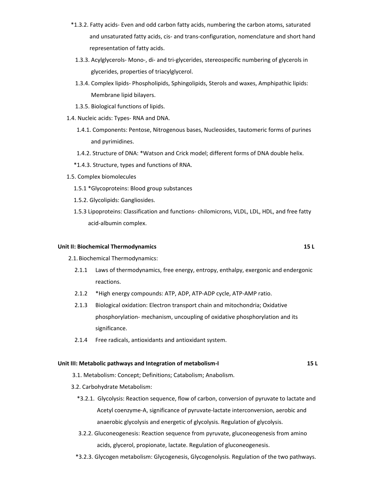- \*1.3.2. Fatty acids‐ Even and odd carbon fatty acids, numbering the carbon atoms, saturated and unsaturated fatty acids, cis‐ and trans‐configuration, nomenclature and short hand representation of fatty acids.
	- 1.3.3. Acylglycerols‐ Mono‐, di‐ and tri‐glycerides, stereospecific numbering of glycerols in glycerides, properties of triacylglycerol.
	- 1.3.4. Complex lipids‐ Phospholipids, Sphingolipids, Sterols and waxes, Amphipathic lipids: Membrane lipid bilayers.
	- 1.3.5. Biological functions of lipids.
- 1.4. Nucleic acids: Types‐ RNA and DNA.
	- 1.4.1. Components: Pentose, Nitrogenous bases, Nucleosides, tautomeric forms of purines and pyrimidines.
	- 1.4.2. Structure of DNA: \*Watson and Crick model; different forms of DNA double helix.
	- \*1.4.3. Structure, types and functions of RNA.
- 1.5. Complex biomolecules
	- 1.5.1 \*Glycoproteins: Blood group substances
	- 1.5.2. Glycolipids: Gangliosides.
	- 1.5.3 Lipoproteins: Classification and functions‐ chilomicrons, VLDL, LDL, HDL, and free fatty acid‐albumin complex.

### **Unit II: Biochemical Thermodynamics 15 L**

- 2.1.Biochemical Thermodynamics:
	- 2.1.1 Laws of thermodynamics, free energy, entropy, enthalpy, exergonic and endergonic reactions.
	- 2.1.2 \*High energy compounds: ATP, ADP, ATP‐ADP cycle, ATP‐AMP ratio.
	- 2.1.3 Biological oxidation: Electron transport chain and mitochondria; Oxidative phosphorylation‐ mechanism, uncoupling of oxidative phosphorylation and its significance.
	- 2.1.4 Free radicals, antioxidants and antioxidant system.

### **Unit III: Metabolic pathways and Integration of metabolism‐I 15 L**

3.1. Metabolism: Concept; Definitions; Catabolism; Anabolism.

- 3.2. Carbohydrate Metabolism:
	- \*3.2.1. Glycolysis: Reaction sequence, flow of carbon, conversion of pyruvate to lactate and Acetyl coenzyme‐A, significance of pyruvate‐lactate interconversion, aerobic and anaerobic glycolysis and energetic of glycolysis. Regulation of glycolysis.
	- 3.2.2. Gluconeogenesis: Reaction sequence from pyruvate, gluconeogenesis from amino acids, glycerol, propionate, lactate. Regulation of gluconeogenesis.
	- \*3.2.3. Glycogen metabolism: Glycogenesis, Glycogenolysis. Regulation of the two pathways.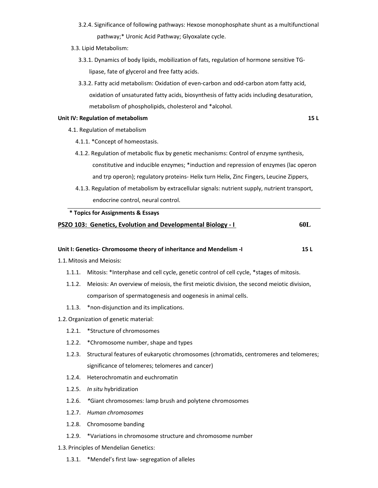- 3.2.4. Significance of following pathways: Hexose monophosphate shunt as a multifunctional pathway;\* Uronic Acid Pathway; Glyoxalate cycle.
- 3.3. Lipid Metabolism:
	- 3.3.1. Dynamics of body lipids, mobilization of fats, regulation of hormone sensitive TG‐ lipase, fate of glycerol and free fatty acids.
	- 3.3.2. Fatty acid metabolism: Oxidation of even‐carbon and odd‐carbon atom fatty acid, oxidation of unsaturated fatty acids, biosynthesis of fatty acids including desaturation, metabolism of phospholipids, cholesterol and \*alcohol.

### **Unit IV: Regulation of metabolism 15 L**

- 4.1. Regulation of metabolism
	- 4.1.1. \*Concept of homeostasis.
	- 4.1.2. Regulation of metabolic flux by genetic mechanisms: Control of enzyme synthesis, constitutive and inducible enzymes; \*induction and repression of enzymes (lac operon and trp operon); regulatory proteins‐ Helix turn Helix, Zinc Fingers, Leucine Zippers,
	- 4.1.3. Regulation of metabolism by extracellular signals: nutrient supply, nutrient transport, endocrine control, neural control.

| * Topics for Assignments & Essays                           |     |
|-------------------------------------------------------------|-----|
| PSZO 103: Genetics, Evolution and Developmental Biology - I | 60L |

### Unit I: Genetics- Chromosome theory of inheritance and Mendelism - I TE L

1.1.Mitosis and Meiosis:

- 1.1.1. Mitosis: \*Interphase and cell cycle, genetic control of cell cycle, \*stages of mitosis.
- 1.1.2. Meiosis: An overview of meiosis, the first meiotic division, the second meiotic division, comparison of spermatogenesis and oogenesis in animal cells.
- 1.1.3. \* non-disjunction and its implications.
- 1.2.Organization of genetic material:
	- 1.2.1. \*Structure of chromosomes
	- 1.2.2. \*Chromosome number, shape and types
	- 1.2.3. Structural features of eukaryotic chromosomes (chromatids, centromeres and telomeres; significance of telomeres; telomeres and cancer)
	- 1.2.4. Heterochromatin and euchromatin
	- 1.2.5. *In situ* hybridization
	- 1.2.6. *\**Giant chromosomes: lamp brush and polytene chromosomes
	- 1.2.7. *Human chromosomes*
	- 1.2.8. Chromosome banding
	- 1.2.9. \*Variations in chromosome structure and chromosome number

1.3.Principles of Mendelian Genetics:

1.3.1. \*Mendel's first law‐ segregation of alleles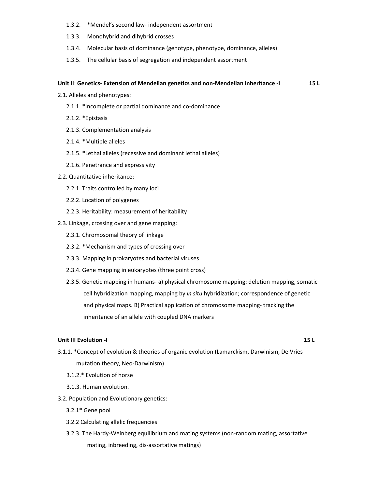- 1.3.2. \*Mendel's second law‐ independent assortment
- 1.3.3. Monohybrid and dihybrid crosses
- 1.3.4. Molecular basis of dominance (genotype, phenotype, dominance, alleles)
- 1.3.5. The cellular basis of segregation and independent assortment

#### Unit II: Genetics- Extension of Mendelian genetics and non-Mendelian inheritance -I 15 L

- 2.1. Alleles and phenotypes:
	- 2.1.1. \*Incomplete or partial dominance and co‐dominance
	- 2.1.2. \*Epistasis
	- 2.1.3. Complementation analysis
	- 2.1.4. \*Multiple alleles
	- 2.1.5. \*Lethal alleles (recessive and dominant lethal alleles)
	- 2.1.6. Penetrance and expressivity
- 2.2. Quantitative inheritance:
	- 2.2.1. Traits controlled by many loci
	- 2.2.2. Location of polygenes
	- 2.2.3. Heritability: measurement of heritability
- 2.3. Linkage, crossing over and gene mapping:
	- 2.3.1. Chromosomal theory of linkage
	- 2.3.2. \*Mechanism and types of crossing over
	- 2.3.3. Mapping in prokaryotes and bacterial viruses
	- 2.3.4. Gene mapping in eukaryotes (three point cross)
	- 2.3.5. Genetic mapping in humans‐ a) physical chromosome mapping: deletion mapping, somatic cell hybridization mapping, mapping by *in situ* hybridization; correspondence of genetic and physical maps. B) Practical application of chromosome mapping‐ tracking the inheritance of an allele with coupled DNA markers

#### **Unit III Evolution ‐I 15 L**

- 3.1.1. \*Concept of evolution & theories of organic evolution (Lamarckism, Darwinism, De Vries mutation theory, Neo‐Darwinism)
	- 3.1.2.\* Evolution of horse
	- 3.1.3. Human evolution.
- 3.2. Population and Evolutionary genetics:
	- 3.2.1\* Gene pool
	- 3.2.2 Calculating allelic frequencies
	- 3.2.3. The Hardy‐Weinberg equilibrium and mating systems (non‐random mating, assortative mating, inbreeding, dis‐assortative matings)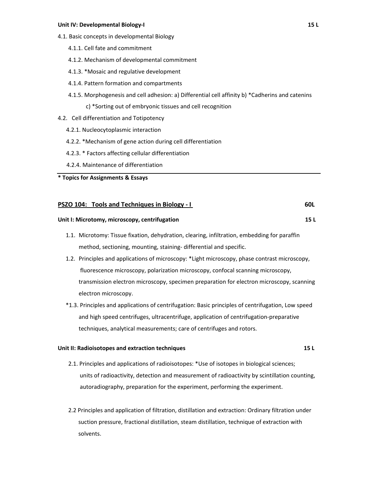#### **Unit IV: Developmental Biology‐I 15 L**

- 4.1. Basic concepts in developmental Biology
	- 4.1.1. Cell fate and commitment
	- 4.1.2. Mechanism of developmental commitment
	- 4.1.3. \*Mosaic and regulative development
	- 4.1.4. Pattern formation and compartments
	- 4.1.5. Morphogenesis and cell adhesion: a) Differential cell affinity b) \*Cadherins and catenins
		- c) \*Sorting out of embryonic tissues and cell recognition
- 4.2. Cell differentiation and Totipotency
	- 4.2.1. Nucleocytoplasmic interaction
	- 4.2.2. \*Mechanism of gene action during cell differentiation
	- 4.2.3. \* Factors affecting cellular differentiation
	- 4.2.4. Maintenance of differentiation

### **\* Topics for Assignments & Essays**

#### **PSZO 104: Tools and Techniques in Biology ‐ I 60L**

### **Unit I: Microtomy, microscopy, centrifugation 15 L**

- 1.1. Microtomy: Tissue fixation, dehydration, clearing, infiltration, embedding for paraffin method, sectioning, mounting, staining‐ differential and specific.
- 1.2. Principles and applications of microscopy: \*Light microscopy, phase contrast microscopy, fluorescence microscopy, polarization microscopy, confocal scanning microscopy, transmission electron microscopy, specimen preparation for electron microscopy, scanning electron microscopy.
- \*1.3. Principles and applications of centrifugation: Basic principles of centrifugation, Low speed and high speed centrifuges, ultracentrifuge, application of centrifugation‐preparative techniques, analytical measurements; care of centrifuges and rotors.

#### **Unit II: Radioisotopes and extraction techniques 15 L**

- 2.1. Principles and applications of radioisotopes: \*Use of isotopes in biological sciences; units of radioactivity, detection and measurement of radioactivity by scintillation counting, autoradiography, preparation for the experiment, performing the experiment.
- 2.2 Principles and application of filtration, distillation and extraction: Ordinary filtration under suction pressure, fractional distillation, steam distillation, technique of extraction with solvents.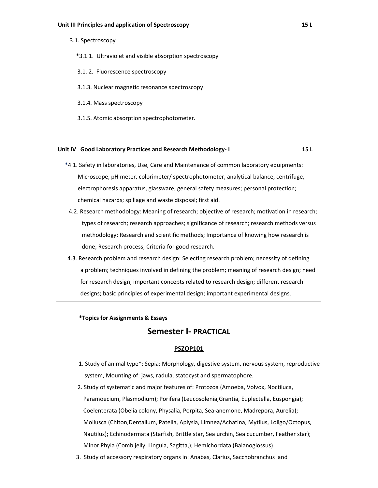#### **Unit III Principles and application of Spectroscopy 15 L**

#### 3.1. Spectroscopy

- \*3.1.1. Ultraviolet and visible absorption spectroscopy
- 3.1. 2. Fluorescence spectroscopy
- 3.1.3. Nuclear magnetic resonance spectroscopy
- 3.1.4. Mass spectroscopy
- 3.1.5. Atomic absorption spectrophotometer.

#### **Unit IV Good Laboratory Practices and Research Methodology‐ I 15 L**

- \*4.1. Safety in laboratories, Use, Care and Maintenance of common laboratory equipments: Microscope, pH meter, colorimeter/ spectrophotometer, analytical balance, centrifuge, electrophoresis apparatus, glassware; general safety measures; personal protection; chemical hazards; spillage and waste disposal; first aid.
	- 4.2. Research methodology: Meaning of research; objective of research; motivation in research; types of research; research approaches; significance of research; research methods versus methodology; Research and scientific methods; Importance of knowing how research is done; Research process; Criteria for good research.
- 4.3. Research problem and research design: Selecting research problem; necessity of defining a problem; techniques involved in defining the problem; meaning of research design; need for research design; important concepts related to research design; different research designs; basic principles of experimental design; important experimental designs.

#### **\*Topics for Assignments & Essays**

### **Semester I‐ PRACTICAL**

### **PSZOP101**

- 1. Study of animal type\*: Sepia: Morphology, digestive system, nervous system, reproductive system, Mounting of: jaws, radula, statocyst and spermatophore.
- 2. Study of systematic and major features of: Protozoa (Amoeba, Volvox, Noctiluca, Paramoecium, Plasmodium); Porifera (Leucosolenia,Grantia, Euplectella, Euspongia); Coelenterata (Obelia colony, Physalia, Porpita, Sea‐anemone, Madrepora, Aurelia); Mollusca (Chiton,Dentalium, Patella, Aplysia, Limnea/Achatina, Mytilus, Loligo/Octopus, Nautilus); Echinodermata (Starfish, Brittle star, Sea urchin, Sea cucumber, Feather star); Minor Phyla (Comb jelly, Lingula, Sagitta,); Hemichordata (Balanoglossus).
- 3. Study of accessory respiratory organs in: Anabas, Clarius, Sacchobranchus and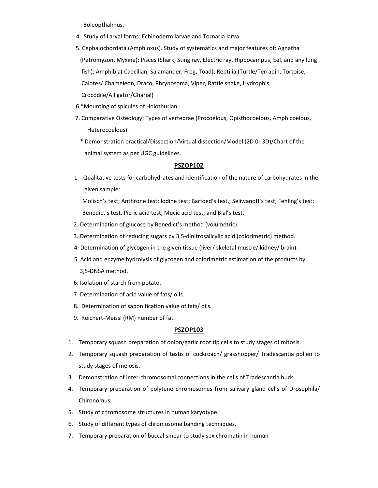Boleopthalmus.

- 4. Study of Larval forms: Echinoderm larvae and Tornaria larva.
- 5. Cephalochordata (Amphioxus). Study of systematics and major features of: Agnatha (Petromyzon, Myxine); Pisces (Shark, Sting ray, Electric ray, Hippocampus, Eel, and any lung fish); Amphibia( Caecilian, Salamander, Frog, Toad); Reptilia (Turtle/Terrapin, Tortoise, Calotes/ Chameleon, Draco, Phrynosoma, Viper, Rattle snake, Hydrophis, Crocodile/Alligator/Gharial)
- 6.\*Mounting of spicules of Holothurian.
- 7. Comparative Osteology: Types of vertebrae (Procoelous, Opisthocoelous, Amphicoelous, Heterocoelous)
	- \* Demonstration practical/Dissection/Virtual dissection/Model (2D 0r 3D)/Chart of the animal system as per UGC guidelines.

### **PSZOP102**

 1. Qualitative tests for carbohydrates and identification of the nature of carbohydrates in the given sample:

 Molisch's test; Anthrone test; Iodine test; Barfoed's test,; Seliwanoff's test; Fehling's test; Benedict's test, Picric acid test; Mucic acid test; and Bial's test.

- 2. Determination of glucose by Benedict's method (volumetric).
- 3. Determination of reducing sugars by 3,5‐dinitrosalicylic acid (colorimetric) method.
- 4. Determination of glycogen in the given tissue (liver/ skeletal muscle/ kidney/ brain).
- 5. Acid and enzyme hydrolysis of glycogen and colorimetric estimation of the products by 3,5‐DNSA method.
- 6. Isolation of starch from potato.
- 7. Determination of acid value of fats/ oils.
- 8. Determination of saponification value of fats/ oils.
- 9. Reichert‐Meissl (RM) number of fat.

### **PSZOP103**

- 1. Temporary squash preparation of onion/garlic root tip cells to study stages of mitosis.
- 2. Temporary squash preparation of testis of cockroach/ grasshopper/ Tradescantia pollen to study stages of meiosis.
- 3. Demonstration of inter‐chromosomal connections in the cells of Tradescantia buds.
- 4. Temporary preparation of polytene chromosomes from salivary gland cells of Drosophila/ Chironomus.
- 5. Study of chromosome structures in human karyotype.
- 6. Study of different types of chromosome banding techniques.
- 7. Temporary preparation of buccal smear to study sex chromatin in human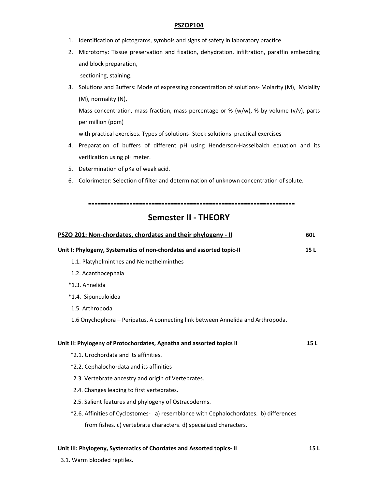### **PSZOP104**

- 1. Identification of pictograms, symbols and signs of safety in laboratory practice.
- 2. Microtomy: Tissue preservation and fixation, dehydration, infiltration, paraffin embedding and block preparation,

sectioning, staining.

3. Solutions and Buffers: Mode of expressing concentration of solutions- Molarity (M), Molality (M), normality (N),

Mass concentration, mass fraction, mass percentage or % (w/w), % by volume (v/v), parts per million (ppm)

with practical exercises. Types of solutions‐ Stock solutions practical exercises

- 4. Preparation of buffers of different pH using Henderson-Hasselbalch equation and its verification using pH meter.
- 5. Determination of pKa of weak acid.
- 6. Colorimeter: Selection of filter and determination of unknown concentration of solute.

=================================================================

# **Semester II ‐ THEORY**

| PSZO 201: Non-chordates, chordates and their phylogeny - II                           | 60L             |
|---------------------------------------------------------------------------------------|-----------------|
| Unit I: Phylogeny, Systematics of non-chordates and assorted topic-II                 | 15 L            |
| 1.1. Platyhelminthes and Nemethelminthes                                              |                 |
| 1.2. Acanthocephala                                                                   |                 |
| *1.3. Annelida                                                                        |                 |
| *1.4. Sipunculoidea                                                                   |                 |
| 1.5. Arthropoda                                                                       |                 |
| 1.6 Onychophora – Peripatus, A connecting link between Annelida and Arthropoda.       |                 |
|                                                                                       |                 |
| Unit II: Phylogeny of Protochordates, Agnatha and assorted topics II                  | 15 <sub>L</sub> |
| *2.1. Urochordata and its affinities.                                                 |                 |
| *2.2. Cephalochordata and its affinities                                              |                 |
| 2.3. Vertebrate ancestry and origin of Vertebrates.                                   |                 |
| 2.4. Changes leading to first vertebrates.                                            |                 |
| 2.5. Salient features and phylogeny of Ostracoderms.                                  |                 |
| *2.6. Affinities of Cyclostomes- a) resemblance with Cephalochordates. b) differences |                 |
| from fishes. c) vertebrate characters. d) specialized characters.                     |                 |
|                                                                                       |                 |
| Unit III: Phylogeny, Systematics of Chordates and Assorted topics- II                 | 15L             |

3.1. Warm blooded reptiles.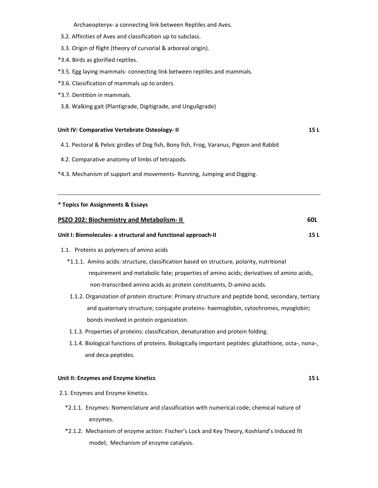Archaeopteryx‐ a connecting link between Reptiles and Aves.

- 3.2. Affinities of Aves and classification up to subclass.
- 3.3. Origin of flight (theory of cursorial & arboreal origin).
- \*3.4. Birds as glorified reptiles.
- \*3.5. Egg laying mammals‐ connecting link between reptiles and mammals.
- \*3.6. Classification of mammals up to orders.
- \*3.7. Dentition in mammals.
- 3.8. Walking gait (Plantigrade, Digitigrade, and Unguligrade)

### **Unit IV: Comparative Vertebrate Osteology‐ II 15 L**

- 4.1. Pectoral & Pelvic girdles of Dog fish, Bony fish, Frog, Varanus, Pigeon and Rabbit
- 4.2. Comparative anatomy of limbs of tetrapods.
- \*4.3. Mechanism of support and movements‐ Running, Jumping and Digging.

### **\* Topics for Assignments & Essays**

| <b>PSZO 202: Biochemistry and Metabolism-II</b> | -60L |
|-------------------------------------------------|------|
|                                                 |      |

### Unit I: Biomolecules- a structural and functional approach-II density and the state of the 15 L

- 1.1. Proteins as polymers of amino acids
	- \*1.1.1. Amino acids: structure, classification based on structure, polarity, nutritional requirement and metabolic fate; properties of amino acids; derivatives of amino acids, non‐transcribed amino acids as protein constituents, D‐amino acids.
	- 1.1.2. Organization of protein structure: Primary structure and peptide bond, secondary, tertiary and quaternary structure; conjugate proteins‐ haemoglobin, cytochromes, myoglobin; bonds involved in protein organization.
	- 1.1.3. Properties of proteins: classification, denaturation and protein folding.
	- 1.1.4. Biological functions of proteins. Biologically important peptides: glutathione, octa‐, nona‐, and deca‐peptides.

### **Unit II: Enzymes and Enzyme kinetics 15 L**

- 2.1. Enzymes and Enzyme kinetics.
	- \*2.1.1. Enzymes: Nomenclature and classification with numerical code; chemical nature of enzymes.
	- \*2.1.2. Mechanism of enzyme action: Fischer's Lock and Key Theory, Koshland's Induced fit model; Mechanism of enzyme catalysis.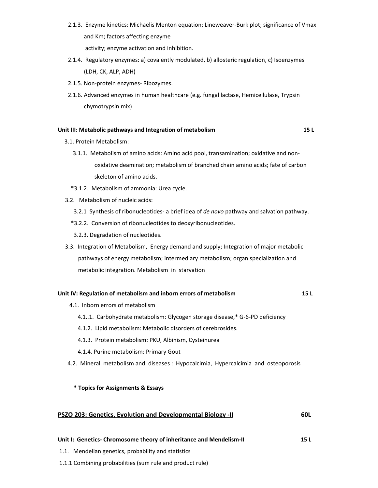- 2.1.3. Enzyme kinetics: Michaelis Menton equation; Lineweaver‐Burk plot; significance of Vmax and Km; factors affecting enzyme activity; enzyme activation and inhibition.
- 2.1.4. Regulatory enzymes: a) covalently modulated, b) allosteric regulation, c) Isoenzymes (LDH, CK, ALP, ADH)
- 2.1.5. Non‐protein enzymes‐ Ribozymes.
- 2.1.6. Advanced enzymes in human healthcare (e.g. fungal lactase, Hemicellulase, Trypsin chymotrypsin mix)

### **Unit III: Metabolic pathways and Integration of metabolism 15 L**

- 3.1. Protein Metabolism:
	- 3.1.1. Metabolism of amino acids: Amino acid pool, transamination; oxidative and non‐ oxidative deamination; metabolism of branched chain amino acids; fate of carbon skeleton of amino acids.
	- \*3.1.2. Metabolism of ammonia: Urea cycle.
- 3.2. Metabolism of nucleic acids:
	- 3.2.1 Synthesis of ribonucleotides‐ a brief idea of *de novo* pathway and salvation pathway.
	- \*3.2.2. Conversion of ribonucleotides to deoxyribonucleotides.
	- 3.2.3. Degradation of nucleotides.
- 3.3. Integration of Metabolism, Energy demand and supply; Integration of major metabolic pathways of energy metabolism; intermediary metabolism; organ specialization and metabolic integration. Metabolism in starvation

### **Unit IV: Regulation of metabolism and inborn errors of metabolism 15 L**

- 4.1. Inborn errors of metabolism
	- 4.1..1. Carbohydrate metabolism: Glycogen storage disease,\* G‐6‐PD deficiency
	- 4.1.2. Lipid metabolism: Metabolic disorders of cerebrosides.
	- 4.1.3. Protein metabolism: PKU, Albinism, Cysteinurea
	- 4.1.4. Purine metabolism: Primary Gout
- 4.2. Mineral metabolism and diseases : Hypocalcimia, Hypercalcimia and osteoporosis

### **\* Topics for Assignments & Essays**

| <b>PSZO 203: Genetics, Evolution and Developmental Biology -II</b>  |      |  |
|---------------------------------------------------------------------|------|--|
| Unit I: Genetics- Chromosome theory of inheritance and Mendelism-II | 15 L |  |
| 1.1. Mendelian genetics, probability and statistics                 |      |  |

1.1.1 Combining probabilities (sum rule and product rule)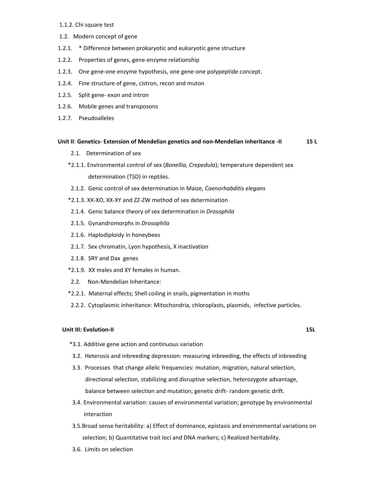#### 1.1.2. Chi square test

- 1.2. Modern concept of gene
- 1.2.1. \* Difference between prokaryotic and eukaryotic gene structure
- 1.2.2. Properties of genes, gene‐enzyme relationship
- 1.2.3. One gene‐one enzyme hypothesis, one gene‐one polypeptide concept.
- 1.2.4. Fine structure of gene, cistron, recon and muton
- 1.2.5. Split gene‐ exon and intron
- 1.2.6. Mobile genes and transposons
- 1.2.7. Pseudoalleles

#### Unit II: Genetics- Extension of Mendelian genetics and non-Mendelian inheritance -II 15 L

- 2.1. Determination of sex
- \*2.1.1. Environmental control of sex (*Bonellia, Crepedula*); temperature dependent sex determination (TSD) in reptiles.
- 2.1.2. Genic control of sex determination in Maize, *Caenorhabditis elegans*
- \*2.1.3. XX‐XO, XX‐XY and ZZ‐ZW method of sex determination
- 2.1.4. Genic balance theory of sex determination in *Drosophila*
- 2.1.5. Gynandromorphs in *Drosophila*
- 2.1.6. Haplodiploidy in honeybees
- 2.1.7. Sex chromatin, Lyon hypothesis, X inactivation
- 2.1.8. SRY and Dax genes
- \*2.1.9. XX males and XY females in human.
- 2.2. Non-Mendelian Inheritance:
- \*2.2.1. Maternal effects; Shell coiling in snails, pigmentation in moths
- 2.2.2. Cytoplasmic inheritance: Mitochondria, chloroplasts, plasmids, infective particles.

### **Unit III: Evolution‐II 15L**

- \*3.1. Additive gene action and continuous variation
- 3.2. Heterosis and inbreeding depression: measuring inbreeding, the effects of inbreeding
- 3.3. Processes that change allelic frequencies: mutation, migration, natural selection, directional selection, stabilizing and disruptive selection, heterozygote advantage, balance between selection and mutation; genetic drift‐ random genetic drift.
- 3.4. Environmental variation: causes of environmental variation; genotype by environmental interaction
- 3.5.Broad sense heritability: a) Effect of dominance, epistasis and environmental variations on selection; b) Quantitative trait loci and DNA markers; c) Realized heritability.
- 3.6. Limits on selection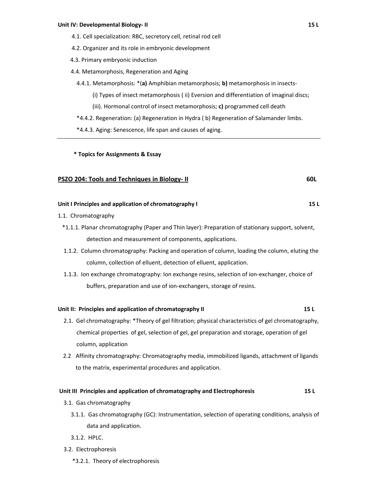#### **Unit IV: Developmental Biology‐ II 15 L**

- 4.1. Cell specialization: RBC, secretory cell, retinal rod cell
- 4.2. Organizer and its role in embryonic development
- 4.3. Primary embryonic induction
- 4.4. Metamorphosis, Regeneration and Aging
	- 4.4.1. Metamorphosis: \*(**a)** Amphibian metamorphosis; **b)** metamorphosis in insects‐
		- (i) Types of insect metamorphosis ( ii) Eversion and differentiation of imaginal discs;
		- (iii). Hormonal control of insect metamorphosis; **c)** programmed cell death
	- \*4.4.2. Regeneration: (a) Regeneration in Hydra ( b) Regeneration of Salamander limbs.
	- \*4.4.3. Aging: Senescence, life span and causes of aging.

### **\* Topics for Assignments & Essay**

### **PSZO 204: Tools and Techniques in Biology‐ II 60L**

### **Unit I Principles and application of chromatography I 15 L**

- 1.1. Chromatography
	- \*1.1.1. Planar chromatography (Paper and Thin layer): Preparation of stationary support, solvent, detection and measurement of components, applications.
	- 1.1.2. Column chromatography: Packing and operation of column, loading the column, eluting the column, collection of elluent, detection of elluent, application.
	- 1.1.3. Ion exchange chromatography: Ion exchange resins, selection of ion-exchanger, choice of buffers, preparation and use of ion‐exchangers, storage of resins.

### **Unit II: Principles and application of chromatography II 15 L**

- 2.1. Gel chromatography: \*Theory of gel filtration; physical characteristics of gel chromatography, chemical properties of gel, selection of gel, gel preparation and storage, operation of gel column, application
- 2.2 Affinity chromatography: Chromatography media, immobilized ligands, attachment of ligands to the matrix, experimental procedures and application.

### **Unit III Principles and application of chromatography and Electrophoresis 15 L**

- 3.1. Gas chromatography
	- 3.1.1. Gas chromatography (GC): Instrumentation, selection of operating conditions, analysis of data and application.
	- 3.1.2. HPLC.
- 3.2. Electrophoresis
	- \*3.2.1. Theory of electrophoresis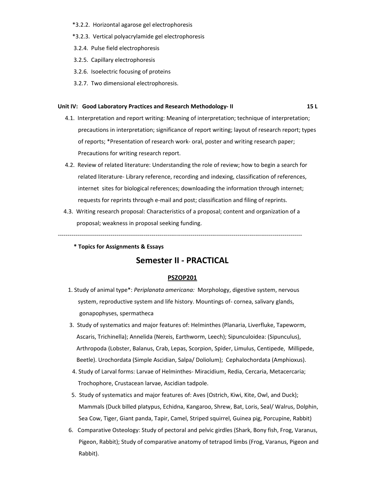- \*3.2.2. Horizontal agarose gel electrophoresis
- \*3.2.3. Vertical polyacrylamide gel electrophoresis
- 3.2.4. Pulse field electrophoresis
- 3.2.5. Capillary electrophoresis
- 3.2.6. Isoelectric focusing of proteins
- 3.2.7. Two dimensional electrophoresis.

### **Unit IV: Good Laboratory Practices and Research Methodology‐ II 15 L**

- 4.1. Interpretation and report writing: Meaning of interpretation; technique of interpretation; precautions in interpretation; significance of report writing; layout of research report; types of reports; \*Presentation of research work‐ oral, poster and writing research paper; Precautions for writing research report.
- 4.2. Review of related literature: Understanding the role of review; how to begin a search for related literature‐ Library reference, recording and indexing, classification of references, internet sites for biological references; downloading the information through internet; requests for reprints through e‐mail and post; classification and filing of reprints.
- 4.3. Writing research proposal: Characteristics of a proposal; content and organization of a proposal; weakness in proposal seeking funding.

‐‐‐‐‐‐‐‐‐‐‐‐‐‐‐‐‐‐‐‐‐‐‐‐‐‐‐‐‐‐‐‐‐‐‐‐‐‐‐‐‐‐‐‐‐‐‐‐‐‐‐‐‐‐‐‐‐‐‐‐‐‐‐‐‐‐‐‐‐‐‐‐‐‐‐‐‐‐‐‐‐‐‐‐‐‐‐‐‐‐‐‐‐‐‐‐‐‐‐‐‐‐‐‐‐‐‐‐‐‐‐‐‐‐‐‐‐‐‐‐‐‐‐‐‐

 **\* Topics for Assignments & Essays**

# **Semester II ‐ PRACTICAL**

#### **PSZOP201**

- 1. Study of animal type\*: *Periplanata americana:* Morphology, digestive system, nervous system, reproductive system and life history. Mountings of-cornea, salivary glands, gonapophyses, spermatheca
- 3. Study of systematics and major features of: Helminthes (Planaria, Liverfluke, Tapeworm, Ascaris, Trichinella); Annelida (Nereis, Earthworm, Leech); Sipunculoidea: (Sipunculus), Arthropoda (Lobster, Balanus, Crab, Lepas, Scorpion, Spider, Limulus, Centipede, Millipede, Beetle). Urochordata (Simple Ascidian, Salpa/ Doliolum); Cephalochordata (Amphioxus).
- 4. Study of Larval forms: Larvae of Helminthes‐ Miracidium, Redia, Cercaria, Metacercaria; Trochophore, Crustacean larvae, Ascidian tadpole.
- 5. Study of systematics and major features of: Aves (Ostrich, Kiwi, Kite, Owl, and Duck); Mammals (Duck billed platypus, Echidna, Kangaroo, Shrew, Bat, Loris, Seal/ Walrus, Dolphin, Sea Cow, Tiger, Giant panda, Tapir, Camel, Striped squirrel, Guinea pig, Porcupine, Rabbit)
- 6. Comparative Osteology: Study of pectoral and pelvic girdles (Shark, Bony fish, Frog, Varanus, Pigeon, Rabbit); Study of comparative anatomy of tetrapod limbs (Frog, Varanus, Pigeon and Rabbit).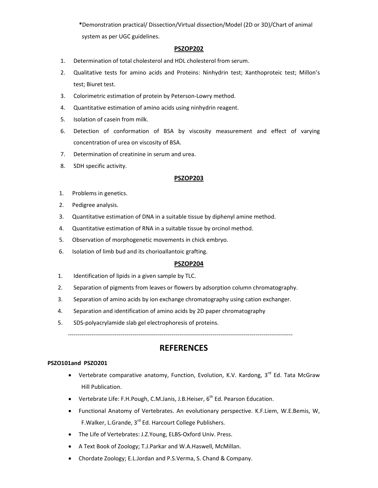**\***Demonstration practical/ Dissection/Virtual dissection/Model (2D or 3D)/Chart of animal system as per UGC guidelines.

### **PSZOP202**

- 1. Determination of total cholesterol and HDL cholesterol from serum.
- 2. Qualitative tests for amino acids and Proteins: Ninhydrin test; Xanthoproteic test; Millon's test; Biuret test.
- 3. Colorimetric estimation of protein by Peterson‐Lowry method.
- 4. Quantitative estimation of amino acids using ninhydrin reagent.
- 5. Isolation of casein from milk.
- 6. Detection of conformation of BSA by viscosity measurement and effect of varying concentration of urea on viscosity of BSA.
- 7. Determination of creatinine in serum and urea.
- 8. SDH specific activity.

### **PSZOP203**

- 1. Problems in genetics.
- 2. Pedigree analysis.
- 3. Quantitative estimation of DNA in a suitable tissue by diphenyl amine method.
- 4. Quantitative estimation of RNA in a suitable tissue by orcinol method.
- 5. Observation of morphogenetic movements in chick embryo.
- 6. Isolation of limb bud and its chorioallantoic grafting.

### **PSZOP204**

- 1. Identification of lipids in a given sample by TLC.
- 2. Separation of pigments from leaves or flowers by adsorption column chromatography.
- 3. Separation of amino acids by ion exchange chromatography using cation exchanger.
- 4. Separation and identification of amino acids by 2D paper chromatography
- 5. SDS‐polyacrylamide slab gel electrophoresis of proteins.

‐‐‐‐‐‐‐‐‐‐‐‐‐‐‐‐‐‐‐‐‐‐‐‐‐‐‐‐‐‐‐‐‐‐‐‐‐‐‐‐‐‐‐‐‐‐‐‐‐‐‐‐‐‐‐‐‐‐‐‐‐‐‐‐‐‐‐‐‐‐‐‐‐‐‐‐‐‐‐‐‐‐‐‐‐‐‐‐‐‐‐‐‐‐‐‐‐‐‐‐‐‐‐‐‐‐‐‐‐‐‐‐‐‐‐

# **REFERENCES**

### **PSZO101and PSZO201**

- Vertebrate comparative anatomy, Function, Evolution, K.V. Kardong,  $3^{rd}$  Ed. Tata McGraw Hill Publication.
- Vertebrate Life: F.H.Pough, C.M.Janis, J.B.Heiser,  $6^{th}$  Ed. Pearson Education.
- Functional Anatomy of Vertebrates. An evolutionary perspective. K.F.Liem, W.E.Bemis, W, F. Walker, L. Grande, 3<sup>rd</sup> Ed. Harcourt College Publishers.
- The Life of Vertebrates: J.Z.Young, ELBS‐Oxford Univ. Press.
- A Text Book of Zoology; T.J.Parkar and W.A.Haswell, McMillan.
- Chordate Zoology; E.L.Jordan and P.S.Verma, S. Chand & Company.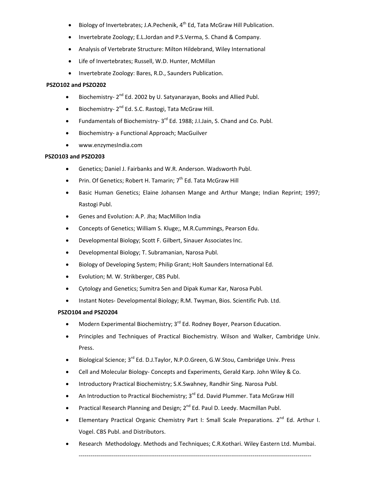- Biology of Invertebrates; J.A.Pechenik, 4<sup>th</sup> Ed, Tata McGraw Hill Publication.
- Invertebrate Zoology; E.L.Jordan and P.S.Verma, S. Chand & Company.
- Analysis of Vertebrate Structure: Milton Hildebrand, Wiley International
- Life of Invertebrates; Russell, W.D. Hunter, McMillan
- Invertebrate Zoology: Bares, R.D., Saunders Publication.

### **PSZO102 and PSZO202**

- Biochemistry‐ 2nd Ed. 2002 by U. Satyanarayan, Books and Allied Publ.
- Biochemistry‐ 2nd Ed. S.C. Rastogi, Tata McGraw Hill.
- Fundamentals of Biochemistry‐ 3rd Ed. 1988; J.I.Jain, S. Chand and Co. Publ.
- Biochemistry‐ a Functional Approach; MacGuilver
- www.enzymesIndia.com

### **PSZO103 and PSZO203**

- Genetics; Daniel J. Fairbanks and W.R. Anderson. Wadsworth Publ.
- Prin. Of Genetics; Robert H. Tamarin;  $7<sup>th</sup>$  Ed. Tata McGraw Hill
- Basic Human Genetics; Elaine Johansen Mange and Arthur Mange; Indian Reprint; 1997; Rastogi Publ.
- Genes and Evolution: A.P. Jha; MacMillon India
- Concepts of Genetics; William S. Kluge;, M.R.Cummings, Pearson Edu.
- Developmental Biology; Scott F. Gilbert, Sinauer Associates Inc.
- Developmental Biology; T. Subramanian, Narosa Publ.
- Biology of Developing System; Philip Grant; Holt Saunders International Ed.
- Evolution; M. W. Strikberger, CBS Publ.
- Cytology and Genetics; Sumitra Sen and Dipak Kumar Kar, Narosa Publ.
- Instant Notes‐ Developmental Biology; R.M. Twyman, Bios. Scientific Pub. Ltd.

### **PSZO104 and PSZO204**

- Modern Experimental Biochemistry;  $3^{rd}$  Ed. Rodney Boyer, Pearson Education.
- Principles and Techniques of Practical Biochemistry. Wilson and Walker, Cambridge Univ. Press.
- Biological Science; 3<sup>rd</sup> Ed. D.J.Taylor, N.P.O.Green, G.W.Stou, Cambridge Univ. Press
- Cell and Molecular Biology‐ Concepts and Experiments, Gerald Karp. John Wiley & Co.
- Introductory Practical Biochemistry; S.K.Swahney, Randhir Sing. Narosa Publ.
- An Introduction to Practical Biochemistry; 3<sup>rd</sup> Ed. David Plummer. Tata McGraw Hill
- Practical Research Planning and Design;  $2^{nd}$  Ed. Paul D. Leedy. Macmillan Publ.
- Elementary Practical Organic Chemistry Part I: Small Scale Preparations. 2<sup>nd</sup> Ed. Arthur I. Vogel. CBS Publ. and Distributors.
- Research Methodology. Methods and Techniques; C.R.Kothari. Wiley Eastern Ltd. Mumbai.

‐‐‐‐‐‐‐‐‐‐‐‐‐‐‐‐‐‐‐‐‐‐‐‐‐‐‐‐‐‐‐‐‐‐‐‐‐‐‐‐‐‐‐‐‐‐‐‐‐‐‐‐‐‐‐‐‐‐‐‐‐‐‐‐‐‐‐‐‐‐‐‐‐‐‐‐‐‐‐‐‐‐‐‐‐‐‐‐‐‐‐‐‐‐‐‐‐‐‐‐‐‐‐‐‐‐‐‐‐‐‐‐‐‐‐‐‐‐‐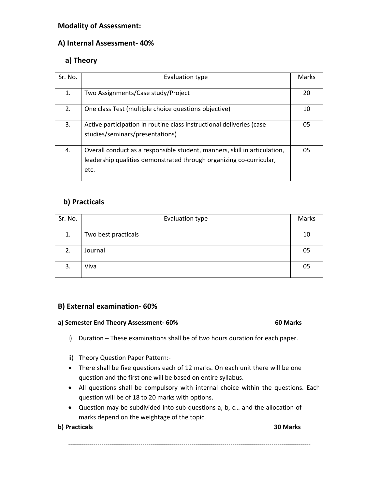# **Modality of Assessment:**

# **A) Internal Assessment‐ 40%**

# **a) Theory**

| Sr. No. | Evaluation type                                                                                                                                          |    |
|---------|----------------------------------------------------------------------------------------------------------------------------------------------------------|----|
| 1.      | Two Assignments/Case study/Project                                                                                                                       | 20 |
| 2.      | One class Test (multiple choice questions objective)                                                                                                     |    |
| 3.      | Active participation in routine class instructional deliveries (case<br>studies/seminars/presentations)                                                  | 05 |
| 4.      | Overall conduct as a responsible student, manners, skill in articulation,<br>leadership qualities demonstrated through organizing co-curricular,<br>etc. | 05 |

# **b) Practicals**

| Sr. No. | Evaluation type     | Marks |
|---------|---------------------|-------|
| 1.      | Two best practicals | 10    |
| 2.      | Journal             | 05    |
| 3.      | Viva                | 05    |

# **B) External examination‐ 60%**

# **a) Semester End Theory Assessment‐ 60% 60 Marks**

- i) Duration These examinations shall be of two hours duration for each paper.
- ii) Theory Question Paper Pattern:‐
- There shall be five questions each of 12 marks. On each unit there will be one question and the first one will be based on entire syllabus.
- All questions shall be compulsory with internal choice within the questions. Each question will be of 18 to 20 marks with options.
- Question may be subdivided into sub‐questions a, b, c… and the allocation of marks depend on the weightage of the topic.

# **b) Practicals 30 Marks**

‐‐‐‐‐‐‐‐‐‐‐‐‐‐‐‐‐‐‐‐‐‐‐‐‐‐‐‐‐‐‐‐‐‐‐‐‐‐‐‐‐‐‐‐‐‐‐‐‐‐‐‐‐‐‐‐‐‐‐‐‐‐‐‐‐‐‐‐‐‐‐‐‐‐‐‐‐‐‐‐‐‐‐‐‐‐‐‐‐‐‐‐‐‐‐‐‐‐‐‐‐‐‐‐‐‐‐‐‐‐‐‐‐‐‐‐‐‐‐‐‐‐‐‐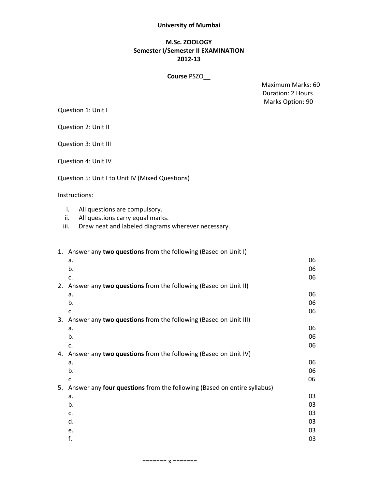### **University of Mumbai**

# **M.Sc. ZOOLOGY Semester I/Semester II EXAMINATION 2012‐13**

### **Course** PSZO\_\_

Maximum Marks: 60 Duration: 2 Hours Marks Option: 90

Question 1: Unit I

Question 2: Unit II

Question 3: Unit III

Question 4: Unit IV

Question 5: Unit I to Unit IV (Mixed Questions)

Instructions:

- i. All questions are compulsory.
- ii. All questions carry equal marks.
- iii. Draw neat and labeled diagrams wherever necessary.

|    | 1. Answer any two questions from the following (Based on Unit I)        |    |
|----|-------------------------------------------------------------------------|----|
|    | a.                                                                      | 06 |
|    | b.                                                                      | 06 |
|    | c.                                                                      | 06 |
| 2. | Answer any two questions from the following (Based on Unit II)          |    |
|    | a.                                                                      | 06 |
|    | b.                                                                      | 06 |
|    | c.                                                                      | 06 |
| 3. | Answer any two questions from the following (Based on Unit III)         |    |
|    | a.                                                                      | 06 |
|    | b.                                                                      | 06 |
|    | c.                                                                      | 06 |
| 4. | Answer any two questions from the following (Based on Unit IV)          |    |
|    | a.                                                                      | 06 |
|    | b.                                                                      | 06 |
|    | c.                                                                      | 06 |
| 5. | Answer any four questions from the following (Based on entire syllabus) |    |
|    | a.                                                                      | 03 |
|    | b.                                                                      | 03 |
|    | c.                                                                      | 03 |
|    | d.                                                                      | 03 |
|    | e.                                                                      | 03 |
|    | f.                                                                      | 03 |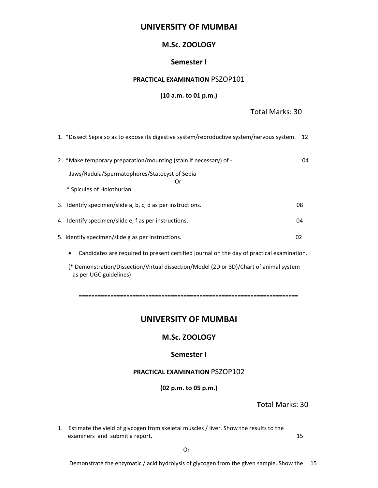# **UNIVERSITY OF MUMBAI**

# **M.Sc. ZOOLOGY**

# **Semester I**

# **PRACTICAL EXAMINATION** PSZOP101

## **(10 a.m. to 01 p.m.)**

# **T**otal Marks: 30

| 1. *Dissect Sepia so as to expose its digestive system/reproductive system/nervous system. 12 |    |
|-----------------------------------------------------------------------------------------------|----|
| 2. *Make temporary preparation/mounting (stain if necessary) of -                             | 04 |
| Jaws/Radula/Spermatophores/Statocyst of Sepia<br>Or                                           |    |
| * Spicules of Holothurian.                                                                    |    |
| 3. Identify specimen/slide a, b, c, d as per instructions.                                    | 08 |
| 4. Identify specimen/slide e, f as per instructions.                                          | 04 |
| 5. Identify specimen/slide g as per instructions.                                             | 02 |
| Candidates are required to present certified journal on the day of practical examination.     |    |

(\* Demonstration/Dissection/Virtual dissection/Model (2D or 3D)/Chart of animal system as per UGC guidelines)

=====================================================================

# **UNIVERSITY OF MUMBAI**

# **M.Sc. ZOOLOGY**

# **Semester I**

### **PRACTICAL EXAMINATION** PSZOP102

**(02 p.m. to 05 p.m.)**

 **T**otal Marks: 30

1. Estimate the yield of glycogen from skeletal muscles / liver. Show the results to the examiners and submit a report. The same of the state of the state of the state of the state of the state of the state of the state of the state of the state of the state of the state of the state of the state of the state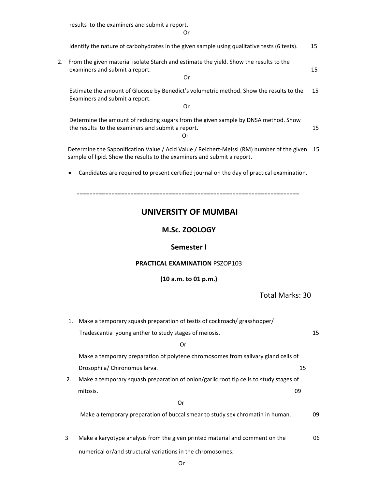results to the examiners and submit a report.

**Contact Contact Contact Contact Contact Contact Contact Contact Contact Contact Contact Contact Contact Contact** 

|    |                                                                                                                          | Identify the nature of carbohydrates in the given sample using qualitative tests (6 tests).                                                                           | 15  |
|----|--------------------------------------------------------------------------------------------------------------------------|-----------------------------------------------------------------------------------------------------------------------------------------------------------------------|-----|
| 2. | From the given material isolate Starch and estimate the yield. Show the results to the<br>examiners and submit a report. | 15                                                                                                                                                                    |     |
|    |                                                                                                                          | Estimate the amount of Glucose by Benedict's volumetric method. Show the results to the<br>Examiners and submit a report.<br>Or                                       | 15  |
|    |                                                                                                                          | Determine the amount of reducing sugars from the given sample by DNSA method. Show<br>the results to the examiners and submit a report.<br>Or                         | 15  |
|    |                                                                                                                          | Determine the Saponification Value / Acid Value / Reichert-Meissl (RM) number of the given<br>sample of lipid. Show the results to the examiners and submit a report. | -15 |
|    |                                                                                                                          | Candidates are required to present certified journal on the day of practical examination.                                                                             |     |
|    |                                                                                                                          |                                                                                                                                                                       |     |
|    |                                                                                                                          | <b>UNIVERSITY OF MUMBAI</b>                                                                                                                                           |     |
|    |                                                                                                                          | M.Sc. ZOOLOGY                                                                                                                                                         |     |
|    |                                                                                                                          | Semester I                                                                                                                                                            |     |
|    |                                                                                                                          | <b>PRACTICAL EXAMINATION PSZOP103</b>                                                                                                                                 |     |
|    |                                                                                                                          | (10 a.m. to 01 p.m.)                                                                                                                                                  |     |
|    |                                                                                                                          | <b>Total Marks: 30</b>                                                                                                                                                |     |
|    | 1.                                                                                                                       | Make a temporary squash preparation of testis of cockroach/ grasshopper/                                                                                              |     |
|    |                                                                                                                          | Tradescantia young anther to study stages of meiosis.                                                                                                                 | 15  |
|    |                                                                                                                          | Or                                                                                                                                                                    |     |
|    |                                                                                                                          | Make a temporary preparation of polytene chromosomes from salivary gland cells of                                                                                     |     |
|    |                                                                                                                          | Drosophila/ Chironomus larva.<br>15                                                                                                                                   |     |
|    | 2.                                                                                                                       | Make a temporary squash preparation of onion/garlic root tip cells to study stages of                                                                                 |     |
|    |                                                                                                                          | 09<br>mitosis.                                                                                                                                                        |     |
|    |                                                                                                                          | Or                                                                                                                                                                    |     |
|    |                                                                                                                          | Make a temporary preparation of buccal smear to study sex chromatin in human.                                                                                         | 09  |
|    | 3                                                                                                                        | Make a karyotype analysis from the given printed material and comment on the                                                                                          | 06  |
|    |                                                                                                                          | numerical or/and structural variations in the chromosomes.                                                                                                            |     |
|    |                                                                                                                          | Or                                                                                                                                                                    |     |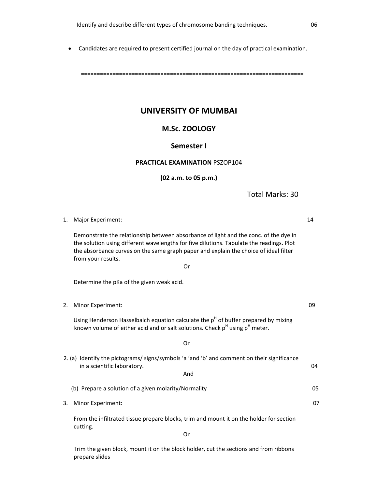• Candidates are required to present certified journal on the day of practical examination.

======================================================================

# **UNIVERSITY OF MUMBAI**

# **M.Sc. ZOOLOGY**

### **Semester I**

### **PRACTICAL EXAMINATION** PSZOP104

**(02 a.m. to 05 p.m.)**

 Total Marks: 30 

1. Major Experiment: 14

 Demonstrate the relationship between absorbance of light and the conc. of the dye in the solution using different wavelengths for five dilutions. Tabulate the readings. Plot the absorbance curves on the same graph paper and explain the choice of ideal filter from your results.

**Contact Contact Contact Contact Contact Contact Contact Contact Contact Contact Contact Contact Contact Contact Contact Contact Contact Contact Contact Contact Contact Contact Contact Contact Contact Contact Contact Conta** 

Determine the pKa of the given weak acid.

2. Minor Experiment: 2002 12. Minor Experiment:

Using Henderson Hasselbalch equation calculate the  $p<sup>H</sup>$  of buffer prepared by mixing known volume of either acid and or salt solutions. Check  $p^H$  using  $p^H$  meter.

**Or Or Or** 

 2. (a) Identify the pictograms/ signs/symbols 'a 'and 'b' and comment on their significance in a scientific laboratory.  $04$ **And And** 

(b) Prepare a solution of a given molarity/Normality **butter in the solution of a given molarity/Normality butter** 

3. Minor Experiment: 07

 From the infiltrated tissue prepare blocks, trim and mount it on the holder for section cutting.

**Contact Contact Contact Contact Contact Contact Contact Contact Contact Contact Contact Contact Contact Contact** 

 Trim the given block, mount it on the block holder, cut the sections and from ribbons prepare slides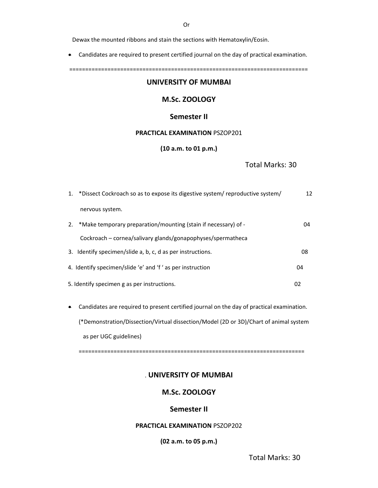Dewax the mounted ribbons and stain the sections with Hematoxylin/Eosin.

• Candidates are required to present certified journal on the day of practical examination.

===========================================================================

### **UNIVERSITY OF MUMBAI**

# **M.Sc. ZOOLOGY**

### **Semester II**

### **PRACTICAL EXAMINATION** PSZOP201

### **(10 a.m. to 01 p.m.)**

## Total Marks: 30

| 1. * Dissect Cockroach so as to expose its digestive system/ reproductive system/ | 12 |
|-----------------------------------------------------------------------------------|----|
| nervous system.                                                                   |    |
| 2. *Make temporary preparation/mounting (stain if necessary) of -                 | 04 |
| Cockroach – cornea/salivary glands/gonapophyses/spermatheca                       |    |
| 3. Identify specimen/slide a, b, c, d as per instructions.                        | 08 |
| 4. Identify specimen/slide 'e' and 'f' as per instruction                         | 04 |
| 5. Identify specimen g as per instructions.                                       | 02 |

• Candidates are required to present certified journal on the day of practical examination. (\*Demonstration/Dissection/Virtual dissection/Model (2D or 3D)/Chart of animal system as per UGC guidelines)

=======================================================================

# . **UNIVERSITY OF MUMBAI**

# **M.Sc. ZOOLOGY**

### **Semester II**

### **PRACTICAL EXAMINATION** PSZOP202

**(02 a.m. to 05 p.m.)**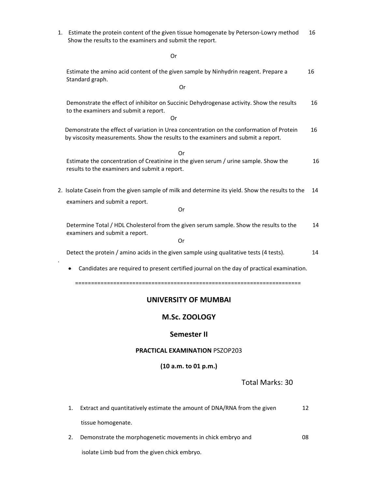1. Estimate the protein content of the given tissue homogenate by Peterson-Lowry method 16 Show the results to the examiners and submit the report.

 Or Estimate the amino acid content of the given sample by Ninhydrin reagent. Prepare a  $16$  Standard graph. **Contact Contact Contact Contact Contact Contact Contact Contact Contact Contact Contact Contact Contact Contact** Demonstrate the effect of inhibitor on Succinic Dehydrogenase activity. Show the results  $16$  to the examiners and submit a report. **Contract Contract Contract Contract Contract Contract Contract Contract Contract Contract Contract Contract Co**  Demonstrate the effect of variation in Urea concentration on the conformation of Protein 16 by viscosity measurements. Show the results to the examiners and submit a report. **Contract Contract Contract Contract Contract Contract Contract Contract Contract Contract Contract Contract Co** Estimate the concentration of Creatinine in the given serum / urine sample. Show the  $16$  results to the examiners and submit a report. 2. Isolate Casein from the given sample of milk and determine its yield. Show the results to the 14 examiners and submit a report. **Contact Contact Contact Contact Contact Contact Contact Contact Contact Contact Contact Contact Contact Contact Contact Contact Contact Contact Contact Contact Contact Contact Contact Contact Contact Contact Contact Conta** Determine Total / HDL Cholesterol from the given serum sample. Show the results to the  $14$  examiners and submit a report. **Contact Contact Contact Contact Contact Contact Contact Contact Contact Contact Contact Contact Contact Contact** Detect the protein / amino acids in the given sample using qualitative tests (4 tests).  $14$ • Candidates are required to present certified journal on the day of practical examination.

=======================================================================

# **UNIVERSITY OF MUMBAI**

### **M.Sc. ZOOLOGY**

### **Semester II**

### **PRACTICAL EXAMINATION** PSZOP203

### **(10 a.m. to 01 p.m.)**

## Total Marks: 30

- 1. Extract and quantitatively estimate the amount of DNA/RNA from the given  $12$ tissue homogenate.
- 2. Demonstrate the morphogenetic movements in chick embryo and  $108$

isolate Limb bud from the given chick embryo.

.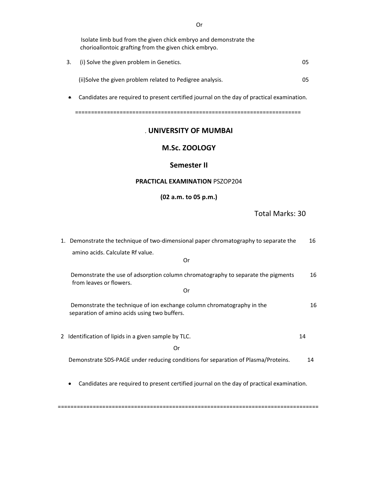Isolate limb bud from the given chick embryo and demonstrate the chorioallontoic grafting from the given chick embryo.

| 3. | (i) Solve the given problem in Genetics.                  | 05 |
|----|-----------------------------------------------------------|----|
|    | (ii)Solve the given problem related to Pedigree analysis. | 05 |

• Candidates are required to present certified journal on the day of practical examination.

=======================================================================

# . **UNIVERSITY OF MUMBAI**

# **M.Sc. ZOOLOGY**

# **Semester II**

## **PRACTICAL EXAMINATION** PSZOP204

# **(02 a.m. to 05 p.m.)**

# Total Marks: 30

| 1. Demonstrate the technique of two-dimensional paper chromatography to separate the |                                                                                                                        |    |  |
|--------------------------------------------------------------------------------------|------------------------------------------------------------------------------------------------------------------------|----|--|
|                                                                                      | amino acids. Calculate Rf value.                                                                                       |    |  |
|                                                                                      | Or                                                                                                                     |    |  |
|                                                                                      | Demonstrate the use of adsorption column chromatography to separate the pigments<br>from leaves or flowers.<br>Or      | 16 |  |
|                                                                                      |                                                                                                                        |    |  |
|                                                                                      | Demonstrate the technique of ion exchange column chromatography in the<br>separation of amino acids using two buffers. | 16 |  |
|                                                                                      |                                                                                                                        |    |  |
|                                                                                      | 2 Identification of lipids in a given sample by TLC.                                                                   | 14 |  |
|                                                                                      | Or                                                                                                                     |    |  |
|                                                                                      | Demonstrate SDS-PAGE under reducing conditions for separation of Plasma/Proteins.                                      | 14 |  |
|                                                                                      | Candidates are required to present certified journal on the day of practical examination.                              |    |  |
|                                                                                      |                                                                                                                        |    |  |